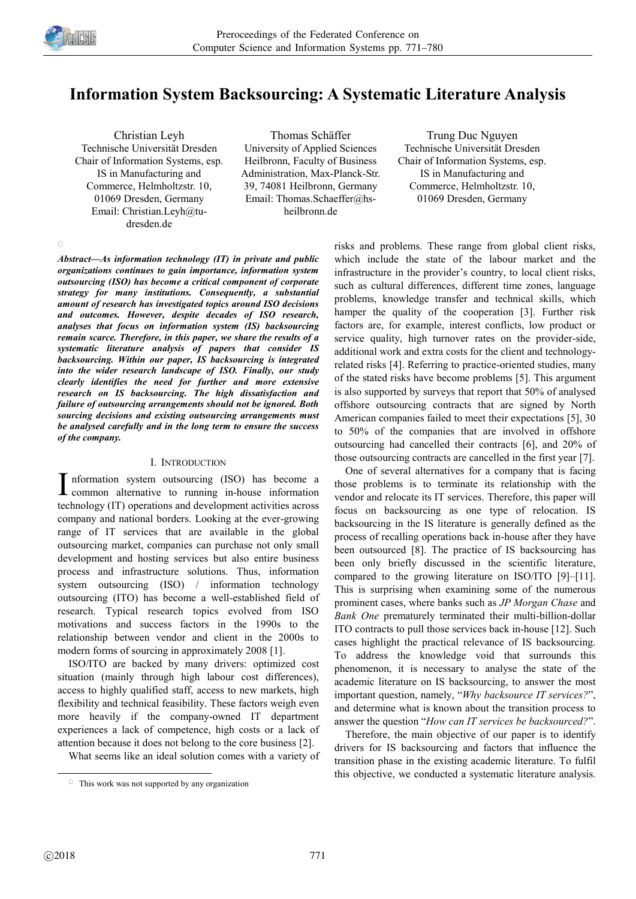

 $\Box$ 

# **Information System Backsourcing: A Systematic Literature Analysis**

Christian Leyh Technische Universität Dresden Chair of Information Systems, esp. IS in Manufacturing and Commerce, Helmholtzstr. 10, 01069 Dresden, Germany Email: Christian.Leyh@tudresden.de

Thomas Schäffer University of Applied Sciences Heilbronn, Faculty of Business Administration, Max-Planck-Str. 39, 74081 Heilbronn, Germany Email: Thomas.Schaeffer@hsheilbronn.de

Trung Duc Nguyen Technische Universität Dresden Chair of Information Systems, esp. IS in Manufacturing and Commerce, Helmholtzstr. 10, 01069 Dresden, Germany

*Abstract—As information technology (IT) in private and public organizations continues to gain importance, information system outsourcing (ISO) has become a critical component of corporate strategy for many institutions. Consequently, a substantial amount of research has investigated topics around ISO decisions and outcomes. However, despite decades of ISO research, analyses that focus on information system (IS) backsourcing remain scarce. Therefore, in this paper, we share the results of a systematic literature analysis of papers that consider IS backsourcing. Within our paper, IS backsourcing is integrated into the wider research landscape of ISO. Finally, our study clearly identifies the need for further and more extensive research on IS backsourcing. The high dissatisfaction and failure of outsourcing arrangements should not be ignored. Both sourcing decisions and existing outsourcing arrangements must be analysed carefully and in the long term to ensure the success of the company.*

# I. INTRODUCTION

I nformation system outsourcing (ISO) has become a common alternative to running in-house information common alternative to running in-house information technology (IT) operations and development activities across company and national borders. Looking at the ever-growing range of IT services that are available in the global outsourcing market, companies can purchase not only small development and hosting services but also entire business process and infrastructure solutions. Thus, information system outsourcing (ISO) / information technology outsourcing (ITO) has become a well-established field of research. Typical research topics evolved from ISO motivations and success factors in the 1990s to the relationship between vendor and client in the 2000s to modern forms of sourcing in approximately 2008 [1].

ISO/ITO are backed by many drivers: optimized cost situation (mainly through high labour cost differences), access to highly qualified staff, access to new markets, high flexibility and technical feasibility. These factors weigh even more heavily if the company-owned IT department experiences a lack of competence, high costs or a lack of attention because it does not belong to the core business [2].

What seems like an ideal solution comes with a variety of

risks and problems. These range from global client risks, which include the state of the labour market and the infrastructure in the provider's country, to local client risks, such as cultural differences, different time zones, language problems, knowledge transfer and technical skills, which hamper the quality of the cooperation [3]. Further risk factors are, for example, interest conflicts, low product or service quality, high turnover rates on the provider-side, additional work and extra costs for the client and technologyrelated risks [4]. Referring to practice-oriented studies, many of the stated risks have become problems [5]. This argument is also supported by surveys that report that 50% of analysed offshore outsourcing contracts that are signed by North American companies failed to meet their expectations [5], 30 to 50% of the companies that are involved in offshore outsourcing had cancelled their contracts [6], and 20% of those outsourcing contracts are cancelled in the first year [7].

One of several alternatives for a company that is facing those problems is to terminate its relationship with the vendor and relocate its IT services. Therefore, this paper will focus on backsourcing as one type of relocation. IS backsourcing in the IS literature is generally defined as the process of recalling operations back in-house after they have been outsourced [8]. The practice of IS backsourcing has been only briefly discussed in the scientific literature, compared to the growing literature on ISO/ITO [9]–[11]. This is surprising when examining some of the numerous prominent cases, where banks such as *JP Morgan Chase* and *Bank One* prematurely terminated their multi-billion-dollar ITO contracts to pull those services back in-house [12]. Such cases highlight the practical relevance of IS backsourcing. To address the knowledge void that surrounds this phenomenon, it is necessary to analyse the state of the academic literature on IS backsourcing, to answer the most important question, namely, "*Why backsource IT services?*" , and determine what is known about the transition process to answer the question "*How can IT services be backsourced?*".

Therefore, the main objective of our paper is to identify drivers for IS backsourcing and factors that influence the transition phase in the existing academic literature. To fulfil this objective, we conducted a systematic literature analysis.

-

 $\Box$  This work was not supported by any organization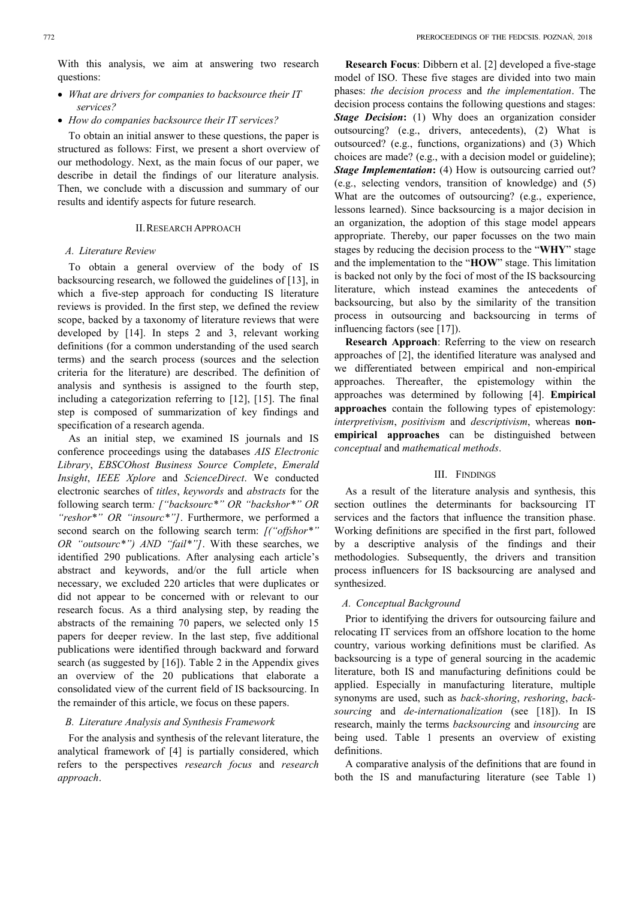With this analysis, we aim at answering two research questions:

- *What are drivers for companies to backsource their IT services?*
- *How do companies backsource their IT services?*

To obtain an initial answer to these questions, the paper is structured as follows: First, we present a short overview of our methodology. Next, as the main focus of our paper, we describe in detail the findings of our literature analysis. Then, we conclude with a discussion and summary of our results and identify aspects for future research.

# II.RESEARCH APPROACH

## *A. Literature Review*

To obtain a general overview of the body of IS backsourcing research, we followed the guidelines of [13], in which a five-step approach for conducting IS literature reviews is provided. In the first step, we defined the review scope, backed by a taxonomy of literature reviews that were developed by [14]. In steps 2 and 3, relevant working definitions (for a common understanding of the used search terms) and the search process (sources and the selection criteria for the literature) are described. The definition of analysis and synthesis is assigned to the fourth step, including a categorization referring to [12], [15]. The final step is composed of summarization of key findings and specification of a research agenda.

As an initial step, we examined IS journals and IS conference proceedings using the databases *AIS Electronic Library*, *EBSCOhost Business Source Complete*, *Emerald Insight*, *IEEE Xplore* and *ScienceDirect*. We conducted electronic searches of *titles*, *keywords* and *abstracts* for the following search term*: ["backsourc\*" OR "backshor\*" OR "reshor\*" OR "insourc\*"]*. Furthermore, we performed a second search on the following search term: *[("offshor\*" OR "outsourc\*") AND "fail\*"]*. With these searches, we identified 290 publications. After analysing each article's abstract and keywords, and/or the full article when necessary, we excluded 220 articles that were duplicates or did not appear to be concerned with or relevant to our research focus. As a third analysing step, by reading the abstracts of the remaining 70 papers, we selected only 15 papers for deeper review. In the last step, five additional publications were identified through backward and forward search (as suggested by [16]). Table 2 in the Appendix gives an overview of the 20 publications that elaborate a consolidated view of the current field of IS backsourcing. In the remainder of this article, we focus on these papers.

## *B. Literature Analysis and Synthesis Framework*

For the analysis and synthesis of the relevant literature, the analytical framework of [4] is partially considered, which refers to the perspectives *research focus* and *research approach*.

**Research Focus**: Dibbern et al. [2] developed a five-stage model of ISO. These five stages are divided into two main phases: *the decision process* and *the implementation*. The decision process contains the following questions and stages: *Stage Decision***:** (1) Why does an organization consider outsourcing? (e.g., drivers, antecedents), (2) What is outsourced? (e.g., functions, organizations) and (3) Which choices are made? (e.g., with a decision model or guideline); *Stage Implementation*: (4) How is outsourcing carried out? (e.g., selecting vendors, transition of knowledge) and (5) What are the outcomes of outsourcing? (e.g., experience, lessons learned). Since backsourcing is a major decision in an organization, the adoption of this stage model appears appropriate. Thereby, our paper focusses on the two main stages by reducing the decision process to the "**WHY**" stage and the implementation to the "**HOW**" stage. This limitation is backed not only by the foci of most of the IS backsourcing literature, which instead examines the antecedents of backsourcing, but also by the similarity of the transition process in outsourcing and backsourcing in terms of influencing factors (see [17]).

**Research Approach**: Referring to the view on research approaches of [2], the identified literature was analysed and we differentiated between empirical and non-empirical approaches. Thereafter, the epistemology within the approaches was determined by following [4]. **Empirical approaches** contain the following types of epistemology: *interpretivism*, *positivism* and *descriptivism*, whereas **nonempirical approaches** can be distinguished between *conceptual* and *mathematical methods*.

## III. FINDINGS

As a result of the literature analysis and synthesis, this section outlines the determinants for backsourcing IT services and the factors that influence the transition phase. Working definitions are specified in the first part, followed by a descriptive analysis of the findings and their methodologies. Subsequently, the drivers and transition process influencers for IS backsourcing are analysed and synthesized.

# *A. Conceptual Background*

Prior to identifying the drivers for outsourcing failure and relocating IT services from an offshore location to the home country, various working definitions must be clarified. As backsourcing is a type of general sourcing in the academic literature, both IS and manufacturing definitions could be applied. Especially in manufacturing literature, multiple synonyms are used, such as *back-shoring*, *reshoring*, *backsourcing* and *de-internationalization* (see [18]). In IS research, mainly the terms *backsourcing* and *insourcing* are being used. Table 1 presents an overview of existing definitions.

A comparative analysis of the definitions that are found in both the IS and manufacturing literature (see Table 1)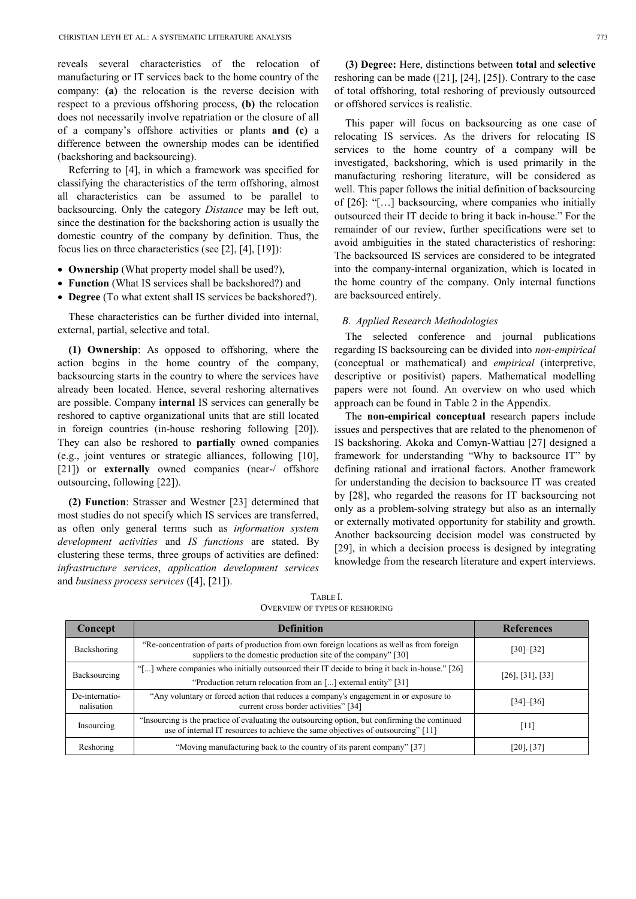reveals several characteristics of the relocation of manufacturing or IT services back to the home country of the company: **(a)** the relocation is the reverse decision with respect to a previous offshoring process, **(b)** the relocation does not necessarily involve repatriation or the closure of all of a company's offshore activities or plants **and (c)** a difference between the ownership modes can be identified (backshoring and backsourcing).

Referring to [4], in which a framework was specified for classifying the characteristics of the term offshoring, almost all characteristics can be assumed to be parallel to backsourcing. Only the category *Distance* may be left out, since the destination for the backshoring action is usually the domestic country of the company by definition. Thus, the focus lies on three characteristics (see [2], [4], [19]):

- **Ownership** (What property model shall be used?),
- **Function** (What IS services shall be backshored?) and
- **Degree** (To what extent shall IS services be backshored?).

These characteristics can be further divided into internal, external, partial, selective and total.

**(1) Ownership**: As opposed to offshoring, where the action begins in the home country of the company, backsourcing starts in the country to where the services have already been located. Hence, several reshoring alternatives are possible. Company **internal** IS services can generally be reshored to captive organizational units that are still located in foreign countries (in-house reshoring following [20]). They can also be reshored to **partially** owned companies (e.g., joint ventures or strategic alliances, following [10], [21]) or **externally** owned companies (near-/ offshore outsourcing, following [22]).

**(2) Function**: Strasser and Westner [23] determined that most studies do not specify which IS services are transferred, as often only general terms such as *information system development activities* and *IS functions* are stated. By clustering these terms, three groups of activities are defined: *infrastructure services*, *application development services* and *business process services* ([4], [21]).

**(3) Degree:** Here, distinctions between **total** and **selective** reshoring can be made ([21], [24], [25]). Contrary to the case of total offshoring, total reshoring of previously outsourced or offshored services is realistic.

This paper will focus on backsourcing as one case of relocating IS services. As the drivers for relocating IS services to the home country of a company will be investigated, backshoring, which is used primarily in the manufacturing reshoring literature, will be considered as well. This paper follows the initial definition of backsourcing of [26]: "[…] backsourcing, where companies who initially outsourced their IT decide to bring it back in-house." For the remainder of our review, further specifications were set to avoid ambiguities in the stated characteristics of reshoring: The backsourced IS services are considered to be integrated into the company-internal organization, which is located in the home country of the company. Only internal functions are backsourced entirely.

## *B. Applied Research Methodologies*

The selected conference and journal publications regarding IS backsourcing can be divided into *non-empirical* (conceptual or mathematical) and *empirical* (interpretive, descriptive or positivist) papers. Mathematical modelling papers were not found. An overview on who used which approach can be found in Table 2 in the Appendix.

The **non-empirical conceptual** research papers include issues and perspectives that are related to the phenomenon of IS backshoring. Akoka and Comyn-Wattiau [27] designed a framework for understanding "Why to backsource IT" by defining rational and irrational factors. Another framework for understanding the decision to backsource IT was created by [28], who regarded the reasons for IT backsourcing not only as a problem-solving strategy but also as an internally or externally motivated opportunity for stability and growth. Another backsourcing decision model was constructed by [29], in which a decision process is designed by integrating knowledge from the research literature and expert interviews.

| Concept                      | <b>Definition</b>                                                                                                                                                                  | <b>References</b>        |  |  |
|------------------------------|------------------------------------------------------------------------------------------------------------------------------------------------------------------------------------|--------------------------|--|--|
| Backshoring                  | "Re-concentration of parts of production from own foreign locations as well as from foreign<br>suppliers to the domestic production site of the company" [30]                      | $[30]-[32]$              |  |  |
| Backsourcing                 | "[] where companies who initially outsourced their IT decide to bring it back in-house." [26]                                                                                      | $[26]$ , $[31]$ , $[33]$ |  |  |
|                              | "Production return relocation from an [] external entity" [31]                                                                                                                     |                          |  |  |
| De-internatio-<br>nalisation | "Any voluntary or forced action that reduces a company's engagement in or exposure to<br>current cross border activities" [34]                                                     | $[34] - [36]$            |  |  |
| Insourcing                   | "Insourcing is the practice of evaluating the outsourcing option, but confirming the continued<br>use of internal IT resources to achieve the same objectives of outsourcing" [11] | [11]                     |  |  |
| Reshoring                    | "Moving manufacturing back to the country of its parent company" [37]                                                                                                              | $[20]$ , $[37]$          |  |  |

TABLE I. OVERVIEW OF TYPES OF RESHORING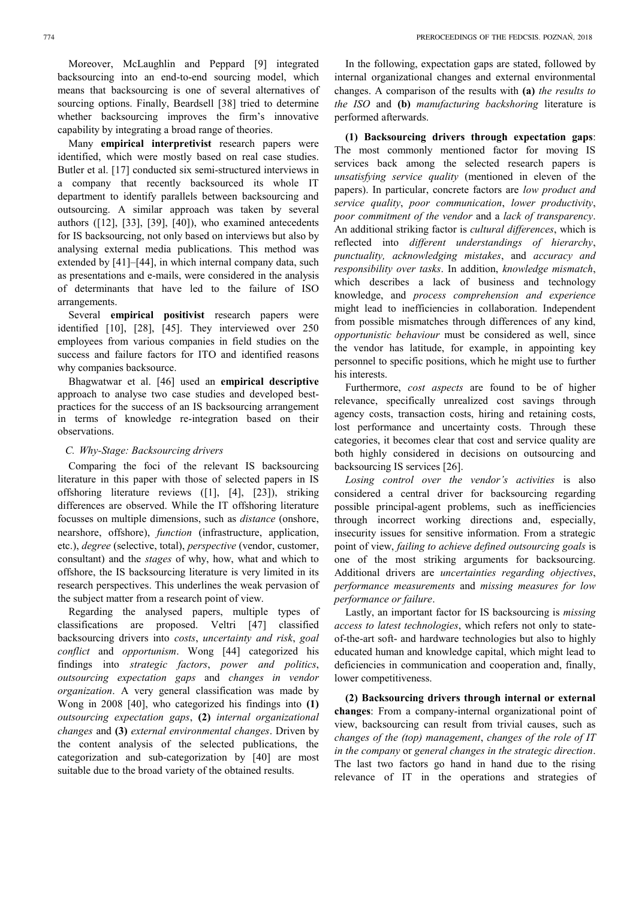Moreover, McLaughlin and Peppard [9] integrated backsourcing into an end-to-end sourcing model, which means that backsourcing is one of several alternatives of sourcing options. Finally, Beardsell [38] tried to determine whether backsourcing improves the firm's innovative capability by integrating a broad range of theories.

Many **empirical interpretivist** research papers were identified, which were mostly based on real case studies. Butler et al. [17] conducted six semi-structured interviews in a company that recently backsourced its whole IT department to identify parallels between backsourcing and outsourcing. A similar approach was taken by several authors ([12], [33], [39], [40]), who examined antecedents for IS backsourcing, not only based on interviews but also by analysing external media publications. This method was extended by [41]–[44], in which internal company data, such as presentations and e-mails, were considered in the analysis of determinants that have led to the failure of ISO arrangements.

Several **empirical positivist** research papers were identified [10], [28], [45]. They interviewed over 250 employees from various companies in field studies on the success and failure factors for ITO and identified reasons why companies backsource.

Bhagwatwar et al. [46] used an **empirical descriptive** approach to analyse two case studies and developed bestpractices for the success of an IS backsourcing arrangement in terms of knowledge re-integration based on their observations.

## *C. Why-Stage: Backsourcing drivers*

Comparing the foci of the relevant IS backsourcing literature in this paper with those of selected papers in IS offshoring literature reviews ([1], [4], [23]), striking differences are observed. While the IT offshoring literature focusses on multiple dimensions, such as *distance* (onshore, nearshore, offshore), *function* (infrastructure, application, etc.), *degree* (selective, total), *perspective* (vendor, customer, consultant) and the *stages* of why, how, what and which to offshore, the IS backsourcing literature is very limited in its research perspectives. This underlines the weak pervasion of the subject matter from a research point of view.

Regarding the analysed papers, multiple types of classifications are proposed. Veltri [47] classified backsourcing drivers into *costs*, *uncertainty and risk*, *goal conflict* and *opportunism*. Wong [44] categorized his findings into *strategic factors*, *power and politics*, *outsourcing expectation gaps* and *changes in vendor organization*. A very general classification was made by Wong in 2008 [40], who categorized his findings into **(1)**  *outsourcing expectation gaps*, **(2)** *internal organizational changes* and **(3)** *external environmental changes*. Driven by the content analysis of the selected publications, the categorization and sub-categorization by [40] are most suitable due to the broad variety of the obtained results.

In the following, expectation gaps are stated, followed by internal organizational changes and external environmental changes. A comparison of the results with **(a)** *the results to the ISO* and **(b)** *manufacturing backshoring* literature is performed afterwards.

**(1) Backsourcing drivers through expectation gaps**: The most commonly mentioned factor for moving IS services back among the selected research papers is *unsatisfying service quality* (mentioned in eleven of the papers). In particular, concrete factors are *low product and service quality*, *poor communication*, *lower productivity*, *poor commitment of the vendor* and a *lack of transparency*. An additional striking factor is *cultural differences*, which is reflected into *different understandings of hierarchy*, *punctuality, acknowledging mistakes*, and *accuracy and responsibility over tasks*. In addition, *knowledge mismatch*, which describes a lack of business and technology knowledge, and *process comprehension and experience* might lead to inefficiencies in collaboration. Independent from possible mismatches through differences of any kind, *opportunistic behaviour* must be considered as well, since the vendor has latitude, for example, in appointing key personnel to specific positions, which he might use to further his interests.

Furthermore, *cost aspects* are found to be of higher relevance, specifically unrealized cost savings through agency costs, transaction costs, hiring and retaining costs, lost performance and uncertainty costs. Through these categories, it becomes clear that cost and service quality are both highly considered in decisions on outsourcing and backsourcing IS services [26].

*Losing control over the vendor's activities* is also considered a central driver for backsourcing regarding possible principal-agent problems, such as inefficiencies through incorrect working directions and, especially, insecurity issues for sensitive information. From a strategic point of view, *failing to achieve defined outsourcing goals* is one of the most striking arguments for backsourcing. Additional drivers are *uncertainties regarding objectives*, *performance measurements* and *missing measures for low performance or failure*.

Lastly, an important factor for IS backsourcing is *missing access to latest technologies*, which refers not only to stateof-the-art soft- and hardware technologies but also to highly educated human and knowledge capital, which might lead to deficiencies in communication and cooperation and, finally, lower competitiveness.

**(2) Backsourcing drivers through internal or external changes**: From a company-internal organizational point of view, backsourcing can result from trivial causes, such as *changes of the (top) management*, *changes of the role of IT in the company* or *general changes in the strategic direction*. The last two factors go hand in hand due to the rising relevance of IT in the operations and strategies of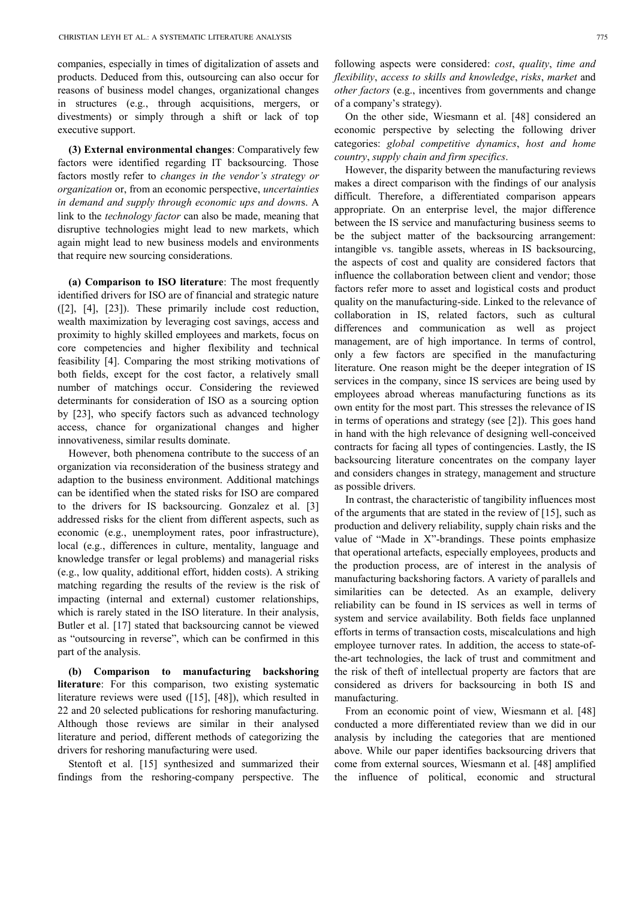companies, especially in times of digitalization of assets and products. Deduced from this, outsourcing can also occur for reasons of business model changes, organizational changes in structures (e.g., through acquisitions, mergers, or divestments) or simply through a shift or lack of top executive support.

**(3) External environmental changes**: Comparatively few factors were identified regarding IT backsourcing. Those factors mostly refer to *changes in the vendor's strategy or organization* or, from an economic perspective, *uncertainties in demand and supply through economic ups and down*s. A link to the *technology factor* can also be made, meaning that disruptive technologies might lead to new markets, which again might lead to new business models and environments that require new sourcing considerations.

**(a) Comparison to ISO literature**: The most frequently identified drivers for ISO are of financial and strategic nature ([2], [4], [23]). These primarily include cost reduction, wealth maximization by leveraging cost savings, access and proximity to highly skilled employees and markets, focus on core competencies and higher flexibility and technical feasibility [4]. Comparing the most striking motivations of both fields, except for the cost factor, a relatively small number of matchings occur. Considering the reviewed determinants for consideration of ISO as a sourcing option by [23], who specify factors such as advanced technology access, chance for organizational changes and higher innovativeness, similar results dominate.

However, both phenomena contribute to the success of an organization via reconsideration of the business strategy and adaption to the business environment. Additional matchings can be identified when the stated risks for ISO are compared to the drivers for IS backsourcing. Gonzalez et al. [3] addressed risks for the client from different aspects, such as economic (e.g., unemployment rates, poor infrastructure), local (e.g., differences in culture, mentality, language and knowledge transfer or legal problems) and managerial risks (e.g., low quality, additional effort, hidden costs). A striking matching regarding the results of the review is the risk of impacting (internal and external) customer relationships, which is rarely stated in the ISO literature. In their analysis, Butler et al. [17] stated that backsourcing cannot be viewed as "outsourcing in reverse", which can be confirmed in this part of the analysis.

**(b) Comparison to manufacturing backshoring literature**: For this comparison, two existing systematic literature reviews were used ([15], [48]), which resulted in 22 and 20 selected publications for reshoring manufacturing. Although those reviews are similar in their analysed literature and period, different methods of categorizing the drivers for reshoring manufacturing were used.

Stentoft et al. [15] synthesized and summarized their findings from the reshoring-company perspective. The

following aspects were considered: *cost*, *quality*, *time and flexibility*, *access to skills and knowledge*, *risks*, *market* and *other factors* (e.g., incentives from governments and change of a company's strategy).

On the other side, Wiesmann et al. [48] considered an economic perspective by selecting the following driver categories: *global competitive dynamics*, *host and home country*, *supply chain and firm specifics*.

However, the disparity between the manufacturing reviews makes a direct comparison with the findings of our analysis difficult. Therefore, a differentiated comparison appears appropriate. On an enterprise level, the major difference between the IS service and manufacturing business seems to be the subject matter of the backsourcing arrangement: intangible vs. tangible assets, whereas in IS backsourcing, the aspects of cost and quality are considered factors that influence the collaboration between client and vendor; those factors refer more to asset and logistical costs and product quality on the manufacturing-side. Linked to the relevance of collaboration in IS, related factors, such as cultural differences and communication as well as project management, are of high importance. In terms of control, only a few factors are specified in the manufacturing literature. One reason might be the deeper integration of IS services in the company, since IS services are being used by employees abroad whereas manufacturing functions as its own entity for the most part. This stresses the relevance of IS in terms of operations and strategy (see [2]). This goes hand in hand with the high relevance of designing well-conceived contracts for facing all types of contingencies. Lastly, the IS backsourcing literature concentrates on the company layer and considers changes in strategy, management and structure as possible drivers.

In contrast, the characteristic of tangibility influences most of the arguments that are stated in the review of [15], such as production and delivery reliability, supply chain risks and the value of "Made in X"-brandings. These points emphasize that operational artefacts, especially employees, products and the production process, are of interest in the analysis of manufacturing backshoring factors. A variety of parallels and similarities can be detected. As an example, delivery reliability can be found in IS services as well in terms of system and service availability. Both fields face unplanned efforts in terms of transaction costs, miscalculations and high employee turnover rates. In addition, the access to state-ofthe-art technologies, the lack of trust and commitment and the risk of theft of intellectual property are factors that are considered as drivers for backsourcing in both IS and manufacturing.

From an economic point of view, Wiesmann et al. [48] conducted a more differentiated review than we did in our analysis by including the categories that are mentioned above. While our paper identifies backsourcing drivers that come from external sources, Wiesmann et al. [48] amplified the influence of political, economic and structural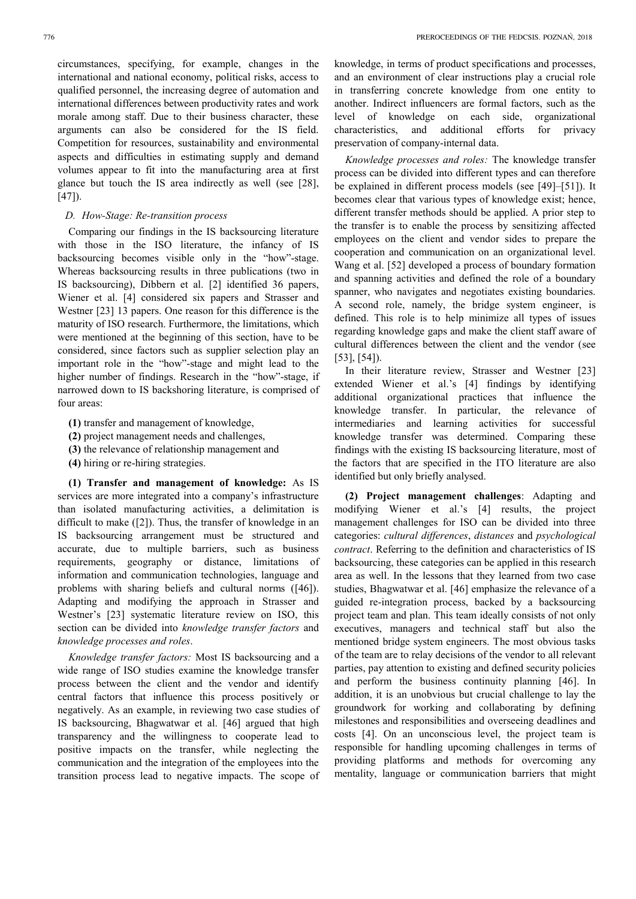circumstances, specifying, for example, changes in the international and national economy, political risks, access to qualified personnel, the increasing degree of automation and international differences between productivity rates and work morale among staff. Due to their business character, these arguments can also be considered for the IS field. Competition for resources, sustainability and environmental aspects and difficulties in estimating supply and demand volumes appear to fit into the manufacturing area at first glance but touch the IS area indirectly as well (see [28], [47]).

# *D. How-Stage: Re-transition process*

Comparing our findings in the IS backsourcing literature with those in the ISO literature, the infancy of IS backsourcing becomes visible only in the "how"-stage. Whereas backsourcing results in three publications (two in IS backsourcing), Dibbern et al. [2] identified 36 papers, Wiener et al. [4] considered six papers and Strasser and Westner [23] 13 papers. One reason for this difference is the maturity of ISO research. Furthermore, the limitations, which were mentioned at the beginning of this section, have to be considered, since factors such as supplier selection play an important role in the "how"-stage and might lead to the higher number of findings. Research in the "how"-stage, if narrowed down to IS backshoring literature, is comprised of four areas:

- **(1)** transfer and management of knowledge,
- **(2)** project management needs and challenges,
- **(3)** the relevance of relationship management and
- **(4)** hiring or re-hiring strategies.

**(1) Transfer and management of knowledge:** As IS services are more integrated into a company's infrastructure than isolated manufacturing activities, a delimitation is difficult to make ([2]). Thus, the transfer of knowledge in an IS backsourcing arrangement must be structured and accurate, due to multiple barriers, such as business requirements, geography or distance, limitations of information and communication technologies, language and problems with sharing beliefs and cultural norms ([46]). Adapting and modifying the approach in Strasser and Westner's [23] systematic literature review on ISO, this section can be divided into *knowledge transfer factors* and *knowledge processes and roles*.

*Knowledge transfer factors:* Most IS backsourcing and a wide range of ISO studies examine the knowledge transfer process between the client and the vendor and identify central factors that influence this process positively or negatively. As an example, in reviewing two case studies of IS backsourcing, Bhagwatwar et al. [46] argued that high transparency and the willingness to cooperate lead to positive impacts on the transfer, while neglecting the communication and the integration of the employees into the transition process lead to negative impacts. The scope of knowledge, in terms of product specifications and processes, and an environment of clear instructions play a crucial role in transferring concrete knowledge from one entity to another. Indirect influencers are formal factors, such as the level of knowledge on each side, organizational characteristics, and additional efforts for privacy preservation of company-internal data.

*Knowledge processes and roles:* The knowledge transfer process can be divided into different types and can therefore be explained in different process models (see [49]–[51]). It becomes clear that various types of knowledge exist; hence, different transfer methods should be applied. A prior step to the transfer is to enable the process by sensitizing affected employees on the client and vendor sides to prepare the cooperation and communication on an organizational level. Wang et al. [52] developed a process of boundary formation and spanning activities and defined the role of a boundary spanner, who navigates and negotiates existing boundaries. A second role, namely, the bridge system engineer, is defined. This role is to help minimize all types of issues regarding knowledge gaps and make the client staff aware of cultural differences between the client and the vendor (see [53], [54]).

In their literature review, Strasser and Westner [23] extended Wiener et al.'s [4] findings by identifying additional organizational practices that influence the knowledge transfer. In particular, the relevance of intermediaries and learning activities for successful knowledge transfer was determined. Comparing these findings with the existing IS backsourcing literature, most of the factors that are specified in the ITO literature are also identified but only briefly analysed.

**(2) Project management challenges**: Adapting and modifying Wiener et al.'s [4] results, the project management challenges for ISO can be divided into three categories: *cultural differences*, *distances* and *psychological contract*. Referring to the definition and characteristics of IS backsourcing, these categories can be applied in this research area as well. In the lessons that they learned from two case studies, Bhagwatwar et al. [46] emphasize the relevance of a guided re-integration process, backed by a backsourcing project team and plan. This team ideally consists of not only executives, managers and technical staff but also the mentioned bridge system engineers. The most obvious tasks of the team are to relay decisions of the vendor to all relevant parties, pay attention to existing and defined security policies and perform the business continuity planning [46]. In addition, it is an unobvious but crucial challenge to lay the groundwork for working and collaborating by defining milestones and responsibilities and overseeing deadlines and costs [4]. On an unconscious level, the project team is responsible for handling upcoming challenges in terms of providing platforms and methods for overcoming any mentality, language or communication barriers that might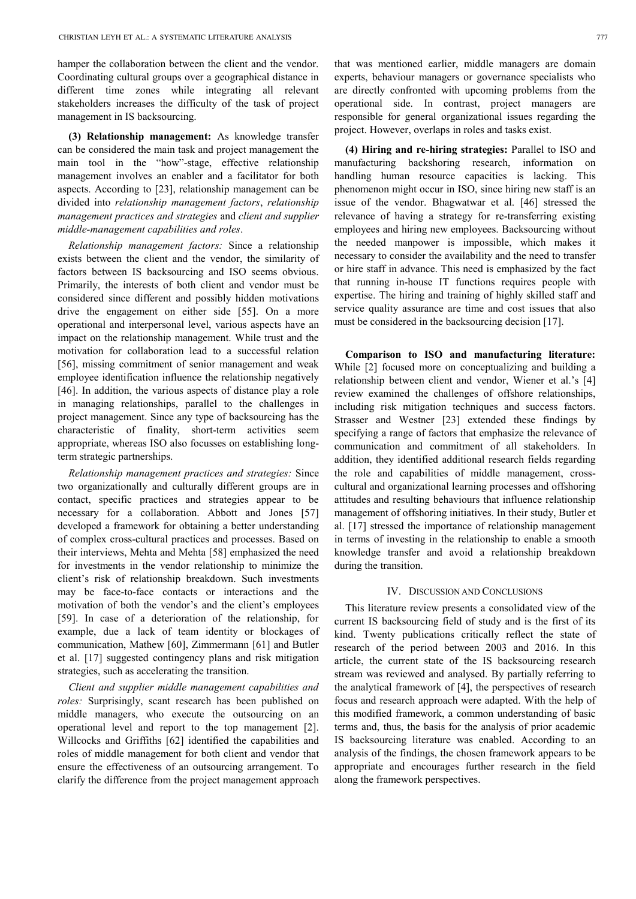hamper the collaboration between the client and the vendor. Coordinating cultural groups over a geographical distance in different time zones while integrating all relevant stakeholders increases the difficulty of the task of project management in IS backsourcing.

**(3) Relationship management:** As knowledge transfer can be considered the main task and project management the main tool in the "how"-stage, effective relationship management involves an enabler and a facilitator for both aspects. According to [23], relationship management can be divided into *relationship management factors*, *relationship management practices and strategies* and *client and supplier middle-management capabilities and roles*.

*Relationship management factors:* Since a relationship exists between the client and the vendor, the similarity of factors between IS backsourcing and ISO seems obvious. Primarily, the interests of both client and vendor must be considered since different and possibly hidden motivations drive the engagement on either side [55]. On a more operational and interpersonal level, various aspects have an impact on the relationship management. While trust and the motivation for collaboration lead to a successful relation [56], missing commitment of senior management and weak employee identification influence the relationship negatively [46]. In addition, the various aspects of distance play a role in managing relationships, parallel to the challenges in project management. Since any type of backsourcing has the characteristic of finality, short-term activities seem appropriate, whereas ISO also focusses on establishing longterm strategic partnerships.

*Relationship management practices and strategies:* Since two organizationally and culturally different groups are in contact, specific practices and strategies appear to be necessary for a collaboration. Abbott and Jones [57] developed a framework for obtaining a better understanding of complex cross-cultural practices and processes. Based on their interviews, Mehta and Mehta [58] emphasized the need for investments in the vendor relationship to minimize the client's risk of relationship breakdown. Such investments may be face-to-face contacts or interactions and the motivation of both the vendor's and the client's employees [59]. In case of a deterioration of the relationship, for example, due a lack of team identity or blockages of communication, Mathew [60], Zimmermann [61] and Butler et al. [17] suggested contingency plans and risk mitigation strategies, such as accelerating the transition.

*Client and supplier middle management capabilities and roles:* Surprisingly, scant research has been published on middle managers, who execute the outsourcing on an operational level and report to the top management [2]. Willcocks and Griffiths [62] identified the capabilities and roles of middle management for both client and vendor that ensure the effectiveness of an outsourcing arrangement. To clarify the difference from the project management approach that was mentioned earlier, middle managers are domain experts, behaviour managers or governance specialists who are directly confronted with upcoming problems from the operational side. In contrast, project managers are responsible for general organizational issues regarding the project. However, overlaps in roles and tasks exist.

**(4) Hiring and re-hiring strategies:** Parallel to ISO and manufacturing backshoring research, information on handling human resource capacities is lacking. This phenomenon might occur in ISO, since hiring new staff is an issue of the vendor. Bhagwatwar et al. [46] stressed the relevance of having a strategy for re-transferring existing employees and hiring new employees. Backsourcing without the needed manpower is impossible, which makes it necessary to consider the availability and the need to transfer or hire staff in advance. This need is emphasized by the fact that running in-house IT functions requires people with expertise. The hiring and training of highly skilled staff and service quality assurance are time and cost issues that also must be considered in the backsourcing decision [17].

**Comparison to ISO and manufacturing literature:** While [2] focused more on conceptualizing and building a relationship between client and vendor, Wiener et al.'s [4] review examined the challenges of offshore relationships, including risk mitigation techniques and success factors. Strasser and Westner [23] extended these findings by specifying a range of factors that emphasize the relevance of communication and commitment of all stakeholders. In addition, they identified additional research fields regarding the role and capabilities of middle management, crosscultural and organizational learning processes and offshoring attitudes and resulting behaviours that influence relationship management of offshoring initiatives. In their study, Butler et al. [17] stressed the importance of relationship management in terms of investing in the relationship to enable a smooth knowledge transfer and avoid a relationship breakdown during the transition.

# IV. DISCUSSION AND CONCLUSIONS

This literature review presents a consolidated view of the current IS backsourcing field of study and is the first of its kind. Twenty publications critically reflect the state of research of the period between 2003 and 2016. In this article, the current state of the IS backsourcing research stream was reviewed and analysed. By partially referring to the analytical framework of [4], the perspectives of research focus and research approach were adapted. With the help of this modified framework, a common understanding of basic terms and, thus, the basis for the analysis of prior academic IS backsourcing literature was enabled. According to an analysis of the findings, the chosen framework appears to be appropriate and encourages further research in the field along the framework perspectives.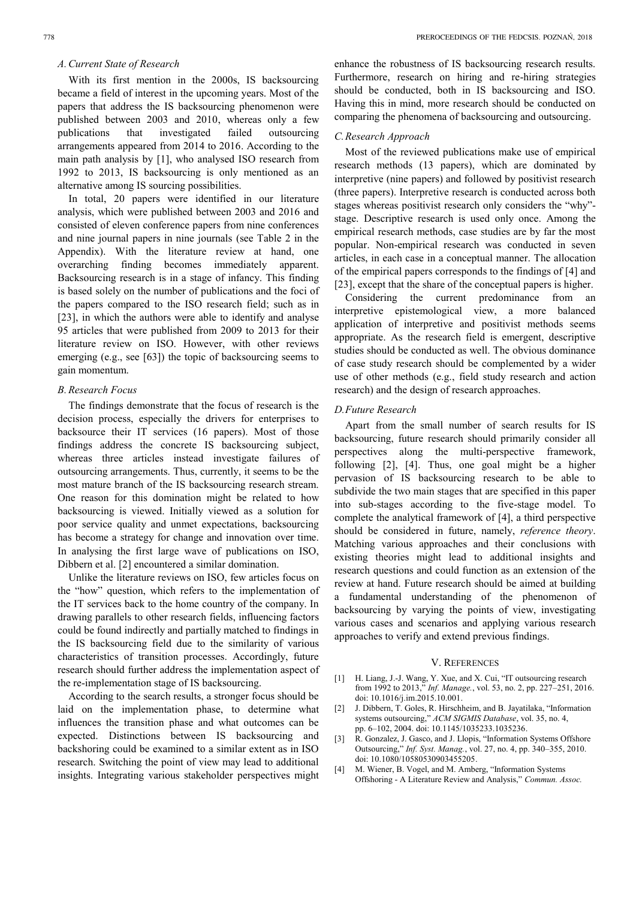# *A.Current State of Research*

With its first mention in the 2000s, IS backsourcing became a field of interest in the upcoming years. Most of the papers that address the IS backsourcing phenomenon were published between 2003 and 2010, whereas only a few publications that investigated failed outsourcing arrangements appeared from 2014 to 2016. According to the main path analysis by [1], who analysed ISO research from 1992 to 2013, IS backsourcing is only mentioned as an alternative among IS sourcing possibilities.

In total, 20 papers were identified in our literature analysis, which were published between 2003 and 2016 and consisted of eleven conference papers from nine conferences and nine journal papers in nine journals (see Table 2 in the Appendix). With the literature review at hand, one overarching finding becomes immediately apparent. Backsourcing research is in a stage of infancy. This finding is based solely on the number of publications and the foci of the papers compared to the ISO research field; such as in [23], in which the authors were able to identify and analyse 95 articles that were published from 2009 to 2013 for their literature review on ISO. However, with other reviews emerging (e.g., see [63]) the topic of backsourcing seems to gain momentum.

### *B.Research Focus*

The findings demonstrate that the focus of research is the decision process, especially the drivers for enterprises to backsource their IT services (16 papers). Most of those findings address the concrete IS backsourcing subject, whereas three articles instead investigate failures of outsourcing arrangements. Thus, currently, it seems to be the most mature branch of the IS backsourcing research stream. One reason for this domination might be related to how backsourcing is viewed. Initially viewed as a solution for poor service quality and unmet expectations, backsourcing has become a strategy for change and innovation over time. In analysing the first large wave of publications on ISO, Dibbern et al. [2] encountered a similar domination.

Unlike the literature reviews on ISO, few articles focus on the "how" question, which refers to the implementation of the IT services back to the home country of the company. In drawing parallels to other research fields, influencing factors could be found indirectly and partially matched to findings in the IS backsourcing field due to the similarity of various characteristics of transition processes. Accordingly, future research should further address the implementation aspect of the re-implementation stage of IS backsourcing.

According to the search results, a stronger focus should be laid on the implementation phase, to determine what influences the transition phase and what outcomes can be expected. Distinctions between IS backsourcing and backshoring could be examined to a similar extent as in ISO research. Switching the point of view may lead to additional insights. Integrating various stakeholder perspectives might

enhance the robustness of IS backsourcing research results. Furthermore, research on hiring and re-hiring strategies should be conducted, both in IS backsourcing and ISO. Having this in mind, more research should be conducted on comparing the phenomena of backsourcing and outsourcing.

#### *C.Research Approach*

Most of the reviewed publications make use of empirical research methods (13 papers), which are dominated by interpretive (nine papers) and followed by positivist research (three papers). Interpretive research is conducted across both stages whereas positivist research only considers the "why" stage. Descriptive research is used only once. Among the empirical research methods, case studies are by far the most popular. Non-empirical research was conducted in seven articles, in each case in a conceptual manner. The allocation of the empirical papers corresponds to the findings of [4] and [23], except that the share of the conceptual papers is higher.

Considering the current predominance from an interpretive epistemological view, a more balanced application of interpretive and positivist methods seems appropriate. As the research field is emergent, descriptive studies should be conducted as well. The obvious dominance of case study research should be complemented by a wider use of other methods (e.g., field study research and action research) and the design of research approaches.

#### *D.Future Research*

Apart from the small number of search results for IS backsourcing, future research should primarily consider all perspectives along the multi-perspective framework, following [2], [4]. Thus, one goal might be a higher pervasion of IS backsourcing research to be able to subdivide the two main stages that are specified in this paper into sub-stages according to the five-stage model. To complete the analytical framework of [4], a third perspective should be considered in future, namely, *reference theory*. Matching various approaches and their conclusions with existing theories might lead to additional insights and research questions and could function as an extension of the review at hand. Future research should be aimed at building a fundamental understanding of the phenomenon of backsourcing by varying the points of view, investigating various cases and scenarios and applying various research approaches to verify and extend previous findings.

#### V. REFERENCES

- [1] H. Liang, J.-J. Wang, Y. Xue, and X. Cui, "IT outsourcing research from 1992 to 2013," *Inf. Manage.*, vol. 53, no. 2, pp. 227–251, 2016. doi: 10.1016/j.im.2015.10.001.
- [2] J. Dibbern, T. Goles, R. Hirschheim, and B. Jayatilaka, "Information systems outsourcing," *ACM SIGMIS Database*, vol. 35, no. 4, pp. 6–102, 2004. doi: 10.1145/1035233.1035236.
- [3] R. Gonzalez, J. Gasco, and J. Llopis, "Information Systems Offshore Outsourcing," *Inf. Syst. Manag.*, vol. 27, no. 4, pp. 340–355, 2010. doi: 10.1080/10580530903455205.
- [4] M. Wiener, B. Vogel, and M. Amberg, "Information Systems Offshoring - A Literature Review and Analysis," *Commun. Assoc.*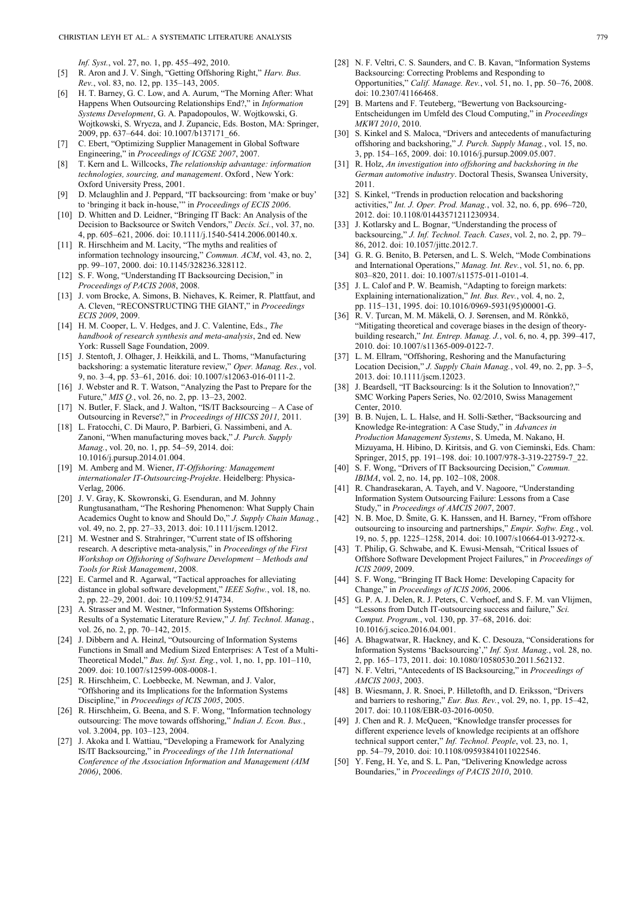*Inf. Syst.*, vol. 27, no. 1, pp. 455–492, 2010.

- [5] R. Aron and J. V. Singh, "Getting Offshoring Right," *Harv. Bus. Rev.*, vol. 83, no. 12, pp. 135–143, 2005.
- [6] H. T. Barney, G. C. Low, and A. Aurum, "The Morning After: What Happens When Outsourcing Relationships End?," in *Information Systems Development*, G. A. Papadopoulos, W. Wojtkowski, G. Wojtkowski, S. Wrycza, and J. Zupancic, Eds. Boston, MA: Springer, 2009, pp. 637–644. doi: 10.1007/b137171\_66.
- [7] C. Ebert, "Optimizing Supplier Management in Global Software Engineering," in *Proceedings of ICGSE 2007*, 2007.
- [8] T. Kern and L. Willcocks, *The relationship advantage: information technologies, sourcing, and management*. Oxford , New York: Oxford University Press, 2001.
- [9] D. Mclaughlin and J. Peppard, "IT backsourcing: from 'make or buy' to 'bringing it back in-house,'" in *Proceedings of ECIS 2006*.
- [10] D. Whitten and D. Leidner, "Bringing IT Back: An Analysis of the Decision to Backsource or Switch Vendors," *Decis. Sci.*, vol. 37, no. 4, pp. 605–621, 2006. doi: 10.1111/j.1540-5414.2006.00140.x.
- [11] R. Hirschheim and M. Lacity, "The myths and realities of information technology insourcing," *Commun. ACM*, vol. 43, no. 2, pp. 99–107, 2000. doi: 10.1145/328236.328112.
- [12] S. F. Wong, "Understanding IT Backsourcing Decision," in *Proceedings of PACIS 2008*, 2008.
- [13] J. vom Brocke, A. Simons, B. Niehaves, K. Reimer, R. Plattfaut, and A. Cleven, "RECONSTRUCTING THE GIANT," in *Proceedings ECIS 2009*, 2009.
- [14] H. M. Cooper, L. V. Hedges, and J. C. Valentine, Eds., *The handbook of research synthesis and meta-analysis*, 2nd ed. New York: Russell Sage Foundation, 2009.
- [15] J. Stentoft, J. Olhager, J. Heikkilä, and L. Thoms, "Manufacturing backshoring: a systematic literature review," *Oper. Manag. Res.*, vol. 9, no. 3–4, pp. 53–61, 2016. doi: 10.1007/s12063-016-0111-2.
- [16] J. Webster and R. T. Watson, "Analyzing the Past to Prepare for the Future," *MIS Q.*, vol. 26, no. 2, pp. 13–23, 2002.
- [17] N. Butler, F. Slack, and J. Walton, "IS/IT Backsourcing A Case of Outsourcing in Reverse?," in *Proceedings of HICSS 2011,* 2011.
- [18] L. Fratocchi, C. Di Mauro, P. Barbieri, G. Nassimbeni, and A. Zanoni, "When manufacturing moves back," *J. Purch. Supply Manag.*, vol. 20, no. 1, pp. 54–59, 2014. doi: 10.1016/j.pursup.2014.01.004.
- [19] M. Amberg and M. Wiener, *IT-Offshoring: Management internationaler IT-Outsourcing-Projekte*. Heidelberg: Physica-Verlag, 2006.
- [20] J. V. Gray, K. Skowronski, G. Esenduran, and M. Johnny Rungtusanatham, "The Reshoring Phenomenon: What Supply Chain Academics Ought to know and Should Do," *J. Supply Chain Manag.*, vol. 49, no. 2, pp. 27–33, 2013. doi: 10.1111/jscm.12012.
- [21] M. Westner and S. Strahringer, "Current state of IS offshoring research. A descriptive meta-analysis," in *Proceedings of the First Workshop on Offshoring of Software Development - Methods and Tools for Risk Management*, 2008.
- [22] E. Carmel and R. Agarwal, "Tactical approaches for alleviating distance in global software development," *IEEE Softw.*, vol. 18, no. 2, pp. 22–29, 2001. doi: 10.1109/52.914734.
- [23] A. Strasser and M. Westner, "Information Systems Offshoring: Results of a Systematic Literature Review," *J. Inf. Technol. Manag.*, vol. 26, no. 2, pp. 70–142, 2015.
- [24] J. Dibbern and A. Heinzl, "Outsourcing of Information Systems Functions in Small and Medium Sized Enterprises: A Test of a Multi-Theoretical Model," *Bus. Inf. Syst. Eng.*, vol. 1, no. 1, pp. 101–110, 2009. doi: 10.1007/s12599-008-0008-1.
- [25] R. Hirschheim, C. Loebbecke, M. Newman, and J. Valor, "Offshoring and its Implications for the Information Systems Discipline," in *Proceedings of ICIS 2005*, 2005.
- [26] R. Hirschheim, G. Beena, and S. F. Wong, "Information technology outsourcing: The move towards offshoring," *Indian J. Econ. Bus.*, vol. 3.2004, pp. 103–123, 2004.
- [27] J. Akoka and I. Wattiau, "Developing a Framework for Analyzing IS/IT Backsourcing," in *Proceedings of the 11th International Conference of the Association Information and Management (AIM 2006)*, 2006.
- [28] N. F. Veltri, C. S. Saunders, and C. B. Kavan, "Information Systems Backsourcing: Correcting Problems and Responding to Opportunities," *Calif. Manage. Rev.*, vol. 51, no. 1, pp. 50–76, 2008. doi: 10.2307/41166468.
- [29] B. Martens and F. Teuteberg, "Bewertung von Backsourcing-Entscheidungen im Umfeld des Cloud Computing," in *Proceedings MKWI 2010*, 2010.
- [30] S. Kinkel and S. Maloca, "Drivers and antecedents of manufacturing offshoring and backshoring," *J. Purch. Supply Manag.*, vol. 15, no. 3, pp. 154–165, 2009. doi: 10.1016/j.pursup.2009.05.007.
- [31] R. Holz, *An investigation into offshoring and backshoring in the German automotive industry*. Doctoral Thesis, Swansea University, 2011.
- [32] S. Kinkel, "Trends in production relocation and backshoring activities," *Int. J. Oper. Prod. Manag.*, vol. 32, no. 6, pp. 696–720, 2012. doi: 10.1108/01443571211230934.
- [33] J. Kotlarsky and L. Bognar, "Understanding the process of backsourcing," *J. Inf. Technol. Teach. Cases*, vol. 2, no. 2, pp. 79– 86, 2012. doi: 10.1057/jittc.2012.7.
- [34] G. R. G. Benito, B. Petersen, and L. S. Welch, "Mode Combinations and International Operations," *Manag. Int. Rev.*, vol. 51, no. 6, pp. 803–820, 2011. doi: 10.1007/s11575-011-0101-4.
- [35] J. L. Calof and P. W. Beamish, "Adapting to foreign markets: Explaining internationalization," *Int. Bus. Rev.*, vol. 4, no. 2, pp. 115–131, 1995. doi: 10.1016/0969-5931(95)00001-G.
- [36] R. V. Ţurcan, M. M. Mäkelä, O. J. Sørensen, and M. Rönkkö, "Mitigating theoretical and coverage biases in the design of theorybuilding research," *Int. Entrep. Manag. J.*, vol. 6, no. 4, pp. 399–417, 2010. doi: 10.1007/s11365-009-0122-7.
- [37] L. M. Ellram, "Offshoring, Reshoring and the Manufacturing Location Decision," *J. Supply Chain Manag.*, vol. 49, no. 2, pp. 3–5, 2013. doi: 10.1111/jscm.12023.
- [38] J. Beardsell, "IT Backsourcing: Is it the Solution to Innovation?," SMC Working Papers Series, No. 02/2010, Swiss Management Center, 2010.
- [39] B. B. Nujen, L. L. Halse, and H. Solli-Sæther, "Backsourcing and Knowledge Re-integration: A Case Study," in *Advances in Production Management Systems*, S. Umeda, M. Nakano, H. Mizuyama, H. Hibino, D. Kiritsis, and G. von Cieminski, Eds. Cham: Springer, 2015, pp. 191–198. doi: 10.1007/978-3-319-22759-7\_22.
- [40] S. F. Wong, "Drivers of IT Backsourcing Decision," *Commun. IBIMA*, vol. 2, no. 14, pp. 102–108, 2008.
- [41] R. Chandrasekaran, A. Tayeh, and V. Nagoore, "Understanding Information System Outsourcing Failure: Lessons from a Case Study," in *Proceedings of AMCIS 2007*, 2007.
- [42] N. B. Moe, D. Šmite, G. K. Hanssen, and H. Barney, "From offshore outsourcing to insourcing and partnerships," *Empir. Softw. Eng.*, vol. 19, no. 5, pp. 1225–1258, 2014. doi: 10.1007/s10664-013-9272-x.
- [43] T. Philip, G. Schwabe, and K. Ewusi-Mensah, "Critical Issues of Offshore Software Development Project Failures," in *Proceedings of ICIS 2009*, 2009.
- [44] S. F. Wong, "Bringing IT Back Home: Developing Capacity for Change," in *Proceedings of ICIS 2006*, 2006.
- [45] G. P. A. J. Delen, R. J. Peters, C. Verhoef, and S. F. M. van Vlijmen, "Lessons from Dutch IT-outsourcing success and failure," *Sci. Comput. Program.*, vol. 130, pp. 37–68, 2016. doi: 10.1016/j.scico.2016.04.001.
- [46] A. Bhagwatwar, R. Hackney, and K. C. Desouza, "Considerations for Information Systems 'Backsourcing'," *Inf. Syst. Manag.*, vol. 28, no. 2, pp. 165–173, 2011. doi: 10.1080/10580530.2011.562132.
- [47] N. F. Veltri, "Antecedents of IS Backsourcing," in *Proceedings of AMCIS 2003*, 2003.
- [48] B. Wiesmann, J. R. Snoei, P. Hilletofth, and D. Eriksson, "Drivers and barriers to reshoring," *Eur. Bus. Rev.*, vol. 29, no. 1, pp. 15–42, 2017. doi: 10.1108/EBR-03-2016-0050.
- [49] J. Chen and R. J. McQueen, "Knowledge transfer processes for different experience levels of knowledge recipients at an offshore technical support center," *Inf. Technol. People*, vol. 23, no. 1, pp. 54–79, 2010. doi: 10.1108/09593841011022546.
- [50] Y. Feng, H. Ye, and S. L. Pan, "Delivering Knowledge across Boundaries," in *Proceedings of PACIS 2010*, 2010.